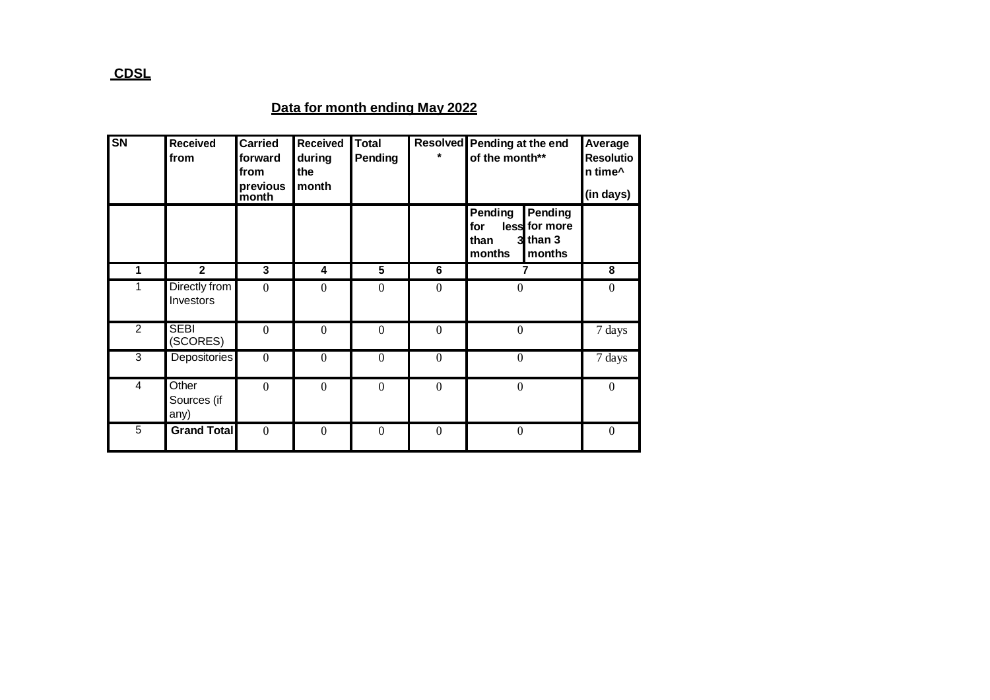## **Data for month ending May 2022**

| $\overline{\text{SN}}$ | <b>Received</b><br>from           | <b>Carried</b><br>forward<br>from<br>previous<br>month | <b>Received</b><br>during<br>the<br>month | <b>Total</b><br>Pending |                  | Resolved Pending at the end<br>of the month**                                          | Average<br><b>Resolutio</b><br>n time^<br>(in days) |
|------------------------|-----------------------------------|--------------------------------------------------------|-------------------------------------------|-------------------------|------------------|----------------------------------------------------------------------------------------|-----------------------------------------------------|
|                        |                                   |                                                        |                                           |                         |                  | Pending<br>Pending<br>less for more<br>for<br>$3$ than $3$<br>than<br>months<br>months |                                                     |
| 1                      | $\mathbf{2}$                      | 3                                                      | 4                                         | 5                       | 6                | $\overline{7}$                                                                         | 8                                                   |
|                        | Directly from<br><b>Investors</b> | $\overline{0}$                                         | $\theta$                                  | $\theta$                | $\theta$         | $\overline{0}$                                                                         | $\theta$                                            |
| $\overline{2}$         | <b>SEBI</b><br>(SCORES)           | $\overline{0}$                                         | $\theta$                                  | $\overline{0}$          | $\mathbf{0}$     | $\overline{0}$                                                                         | 7 days                                              |
| 3                      | Depositories                      | $\overline{0}$                                         | $\boldsymbol{0}$                          | $\boldsymbol{0}$        | $\boldsymbol{0}$ | $\mathbf{0}$                                                                           | 7 days                                              |
| 4                      | Other<br>Sources (if<br>any)      | $\mathbf{0}$                                           | $\boldsymbol{0}$                          | $\boldsymbol{0}$        | $\boldsymbol{0}$ | $\boldsymbol{0}$                                                                       | $\mathbf{0}$                                        |
| 5                      | <b>Grand Total</b>                | $\theta$                                               | $\Omega$                                  | $\Omega$                | $\theta$         | $\theta$                                                                               | $\theta$                                            |

## **CDSL**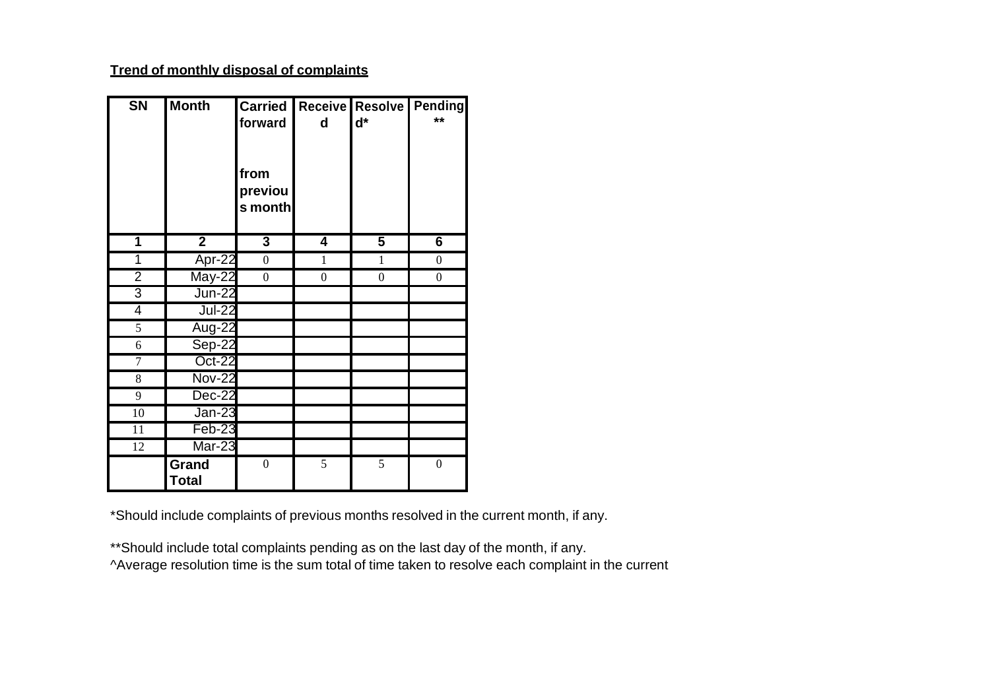## **Trend of monthly disposal of complaints**

| <b>SN</b>       | <b>Month</b>  | <b>Carried</b>   |                | Receive Resolve Pending |                  |
|-----------------|---------------|------------------|----------------|-------------------------|------------------|
|                 |               | forward          | d              | $d^*$                   | $**$             |
|                 |               |                  |                |                         |                  |
|                 |               |                  |                |                         |                  |
|                 |               | from             |                |                         |                  |
|                 |               | previou          |                |                         |                  |
|                 |               | s month          |                |                         |                  |
|                 |               |                  |                |                         |                  |
| 1               | $\mathbf{2}$  | $\mathbf{3}$     | 4              | 5                       | 6                |
| 1               | Apr-22        | $\boldsymbol{0}$ | 1              | 1                       | $\boldsymbol{0}$ |
| $\overline{2}$  | May-22        | $\overline{0}$   | $\overline{0}$ | $\overline{0}$          | $\boldsymbol{0}$ |
| 3               | <b>Jun-22</b> |                  |                |                         |                  |
| 4               | <b>Jul-22</b> |                  |                |                         |                  |
| 5               | Aug-22        |                  |                |                         |                  |
| 6               | Sep-22        |                  |                |                         |                  |
| $\overline{7}$  | Oct-22        |                  |                |                         |                  |
| 8               | <b>Nov-22</b> |                  |                |                         |                  |
| 9               | Dec-22        |                  |                |                         |                  |
| 10              | <b>Jan-23</b> |                  |                |                         |                  |
| $\overline{11}$ | Feb-23        |                  |                |                         |                  |
| $\overline{12}$ | $Mar-23$      |                  |                |                         |                  |
|                 | Grand         | $\boldsymbol{0}$ | 5              | $\overline{5}$          | $\boldsymbol{0}$ |
|                 | <b>Total</b>  |                  |                |                         |                  |

\*Should include complaints of previous months resolved in the current month, if any.

\*\*Should include total complaints pending as on the last day of the month, if any.

^Average resolution time is the sum total of time taken to resolve each complaint in the current